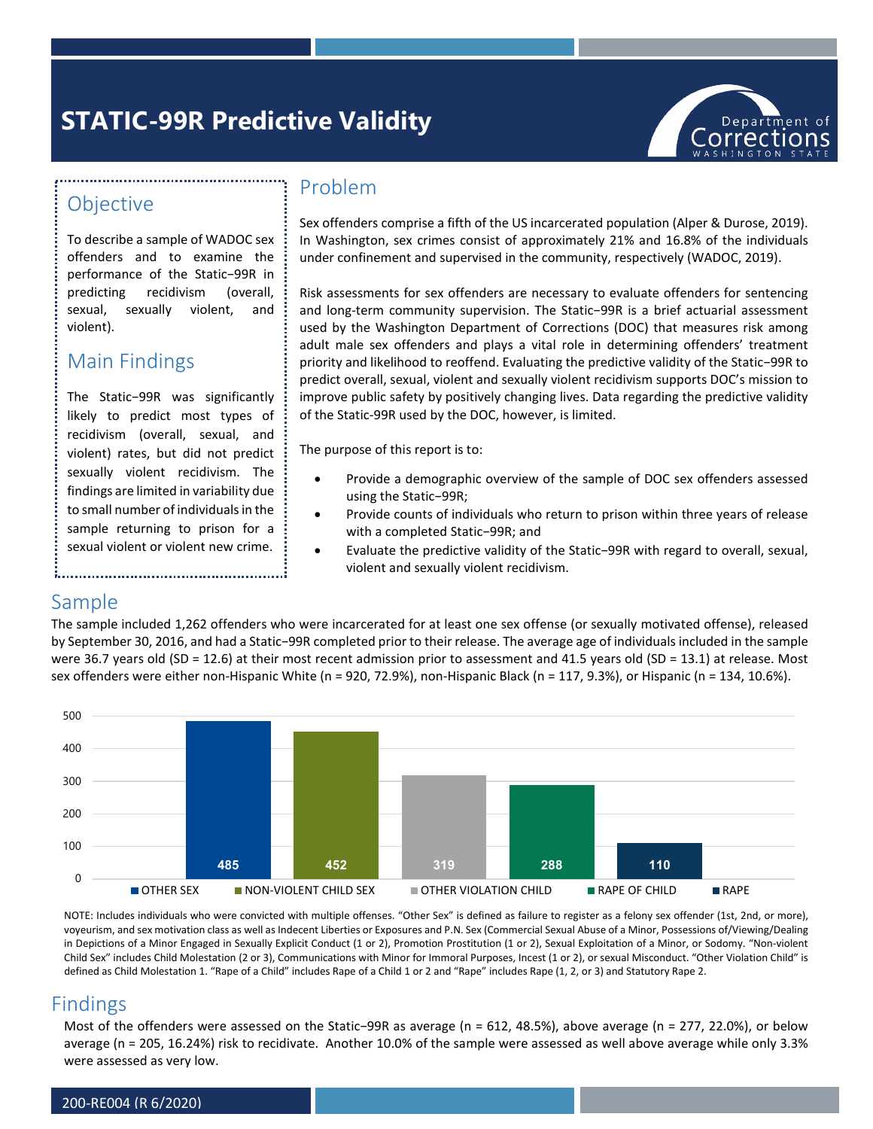# **STATIC-99R Predictive Validity**



## **Objective**

To describe a sample of WADOC sex offenders and to examine the performance of the Static−99R in predicting recidivism (overall, sexual, sexually violent, and violent).

# Main Findings

The Static−99R was significantly likely to predict most types of recidivism (overall, sexual, and violent) rates, but did not predict sexually violent recidivism. The findings are limited in variability due to small number of individuals in the sample returning to prison for a sexual violent or violent new crime.

#### Problem

Sex offenders comprise a fifth of the US incarcerated population (Alper & Durose, 2019). In Washington, sex crimes consist of approximately 21% and 16.8% of the individuals under confinement and supervised in the community, respectively (WADOC, 2019).

Risk assessments for sex offenders are necessary to evaluate offenders for sentencing and long-term community supervision. The Static−99R is a brief actuarial assessment used by the Washington Department of Corrections (DOC) that measures risk among adult male sex offenders and plays a vital role in determining offenders' treatment priority and likelihood to reoffend. Evaluating the predictive validity of the Static−99R to predict overall, sexual, violent and sexually violent recidivism supports DOC's mission to improve public safety by positively changing lives. Data regarding the predictive validity of the Static-99R used by the DOC, however, is limited.

The purpose of this report is to:

- Provide a demographic overview of the sample of DOC sex offenders assessed using the Static−99R;
- Provide counts of individuals who return to prison within three years of release with a completed Static−99R; and
- Evaluate the predictive validity of the Static−99R with regard to overall, sexual, violent and sexually violent recidivism.

## Sample

The sample included 1,262 offenders who were incarcerated for at least one sex offense (or sexually motivated offense), released by September 30, 2016, and had a Static−99R completed prior to their release. The average age of individuals included in the sample were 36.7 years old (SD = 12.6) at their most recent admission prior to assessment and 41.5 years old (SD = 13.1) at release. Most sex offenders were either non-Hispanic White (n = 920, 72.9%), non-Hispanic Black (n = 117, 9.3%), or Hispanic (n = 134, 10.6%).



NOTE: Includes individuals who were convicted with multiple offenses. "Other Sex" is defined as failure to register as a felony sex offender (1st, 2nd, or more), voyeurism, and sex motivation class as well as Indecent Liberties or Exposures and P.N. Sex (Commercial Sexual Abuse of a Minor, Possessions of/Viewing/Dealing in Depictions of a Minor Engaged in Sexually Explicit Conduct (1 or 2), Promotion Prostitution (1 or 2), Sexual Exploitation of a Minor, or Sodomy. "Non-violent Child Sex" includes Child Molestation (2 or 3), Communications with Minor for Immoral Purposes, Incest (1 or 2), or sexual Misconduct. "Other Violation Child" is defined as Child Molestation 1. "Rape of a Child" includes Rape of a Child 1 or 2 and "Rape" includes Rape (1, 2, or 3) and Statutory Rape 2.

#### Findings

Most of the offenders were assessed on the Static−99R as average (n = 612, 48.5%), above average (n = 277, 22.0%), or below average (n = 205, 16.24%) risk to recidivate. Another 10.0% of the sample were assessed as well above average while only 3.3% were assessed as very low.